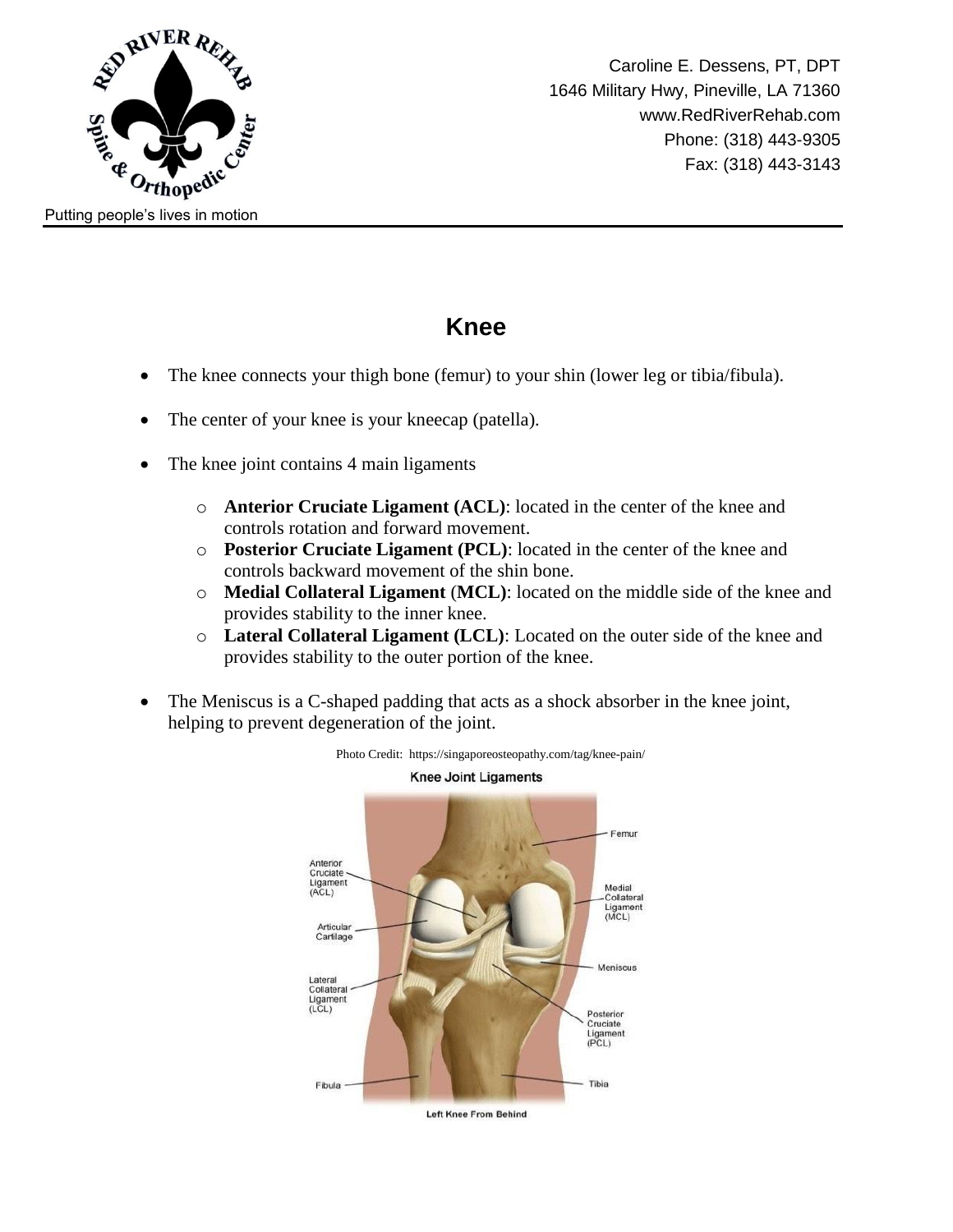

#### **Knee**

- The knee connects your thigh bone (femur) to your shin (lower leg or tibia/fibula).
- The center of your knee is your kneecap (patella).
- The knee joint contains 4 main ligaments
	- o **Anterior Cruciate Ligament (ACL)**: located in the center of the knee and controls rotation and forward movement.
	- o **Posterior Cruciate Ligament (PCL)**: located in the center of the knee and controls backward movement of the shin bone.
	- o **Medial Collateral Ligament** (**MCL)**: located on the middle side of the knee and provides stability to the inner knee.
	- o **Lateral Collateral Ligament (LCL)**: Located on the outer side of the knee and provides stability to the outer portion of the knee.
- The Meniscus is a C-shaped padding that acts as a shock absorber in the knee joint, helping to prevent degeneration of the joint.

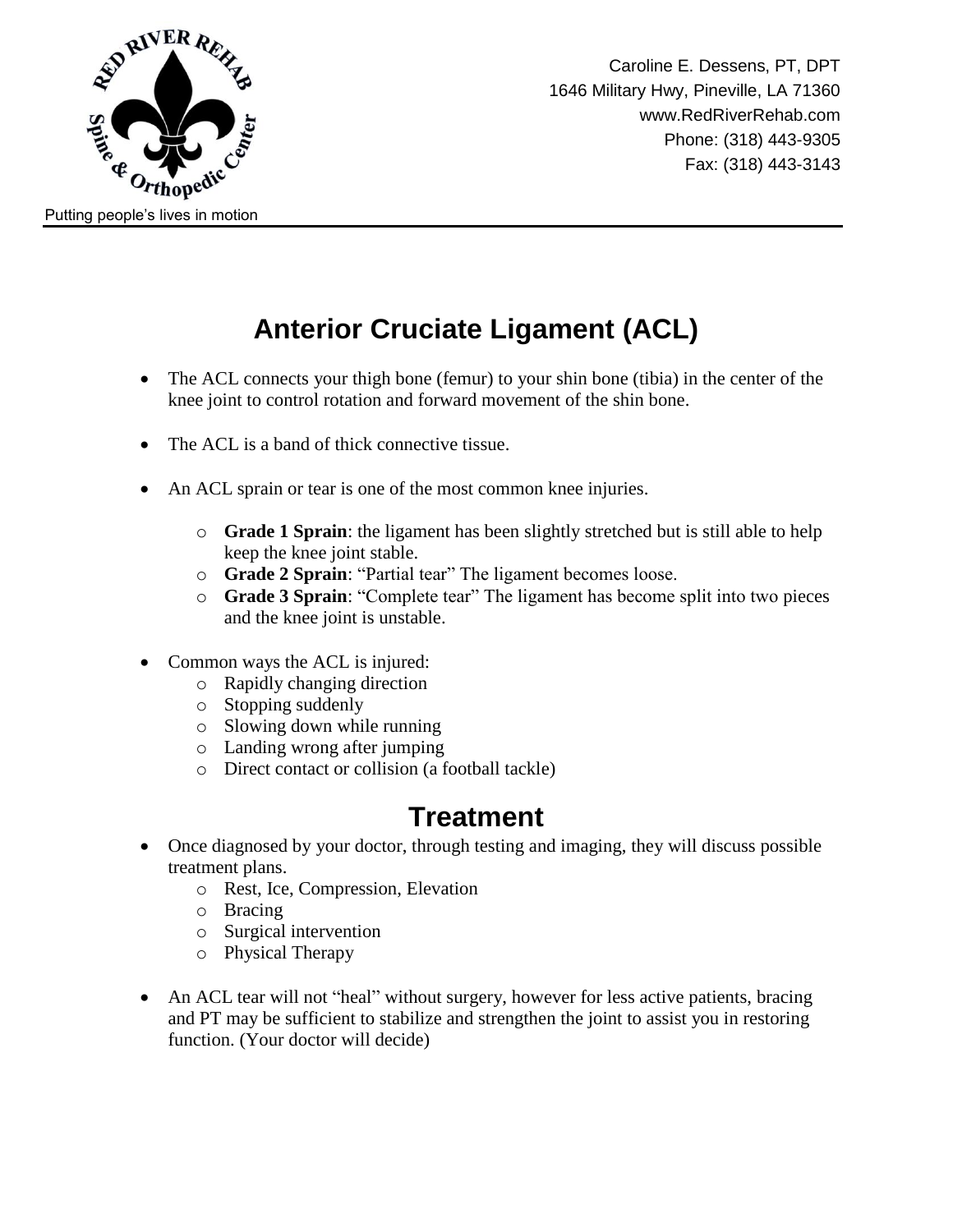

## **Anterior Cruciate Ligament (ACL)**

- The ACL connects your thigh bone (femur) to your shin bone (tibia) in the center of the knee joint to control rotation and forward movement of the shin bone.
- The ACL is a band of thick connective tissue.
- An ACL sprain or tear is one of the most common knee injuries.
	- o **Grade 1 Sprain**: the ligament has been slightly stretched but is still able to help keep the knee joint stable.
	- o **Grade 2 Sprain**: "Partial tear" The ligament becomes loose.
	- o **Grade 3 Sprain**: "Complete tear" The ligament has become split into two pieces and the knee joint is unstable.
- Common ways the ACL is injured:
	- o Rapidly changing direction
	- o Stopping suddenly
	- o Slowing down while running
	- o Landing wrong after jumping
	- o Direct contact or collision (a football tackle)

#### **Treatment**

- Once diagnosed by your doctor, through testing and imaging, they will discuss possible treatment plans.
	- o Rest, Ice, Compression, Elevation
	- o Bracing
	- o Surgical intervention
	- o Physical Therapy
- An ACL tear will not "heal" without surgery, however for less active patients, bracing and PT may be sufficient to stabilize and strengthen the joint to assist you in restoring function. (Your doctor will decide)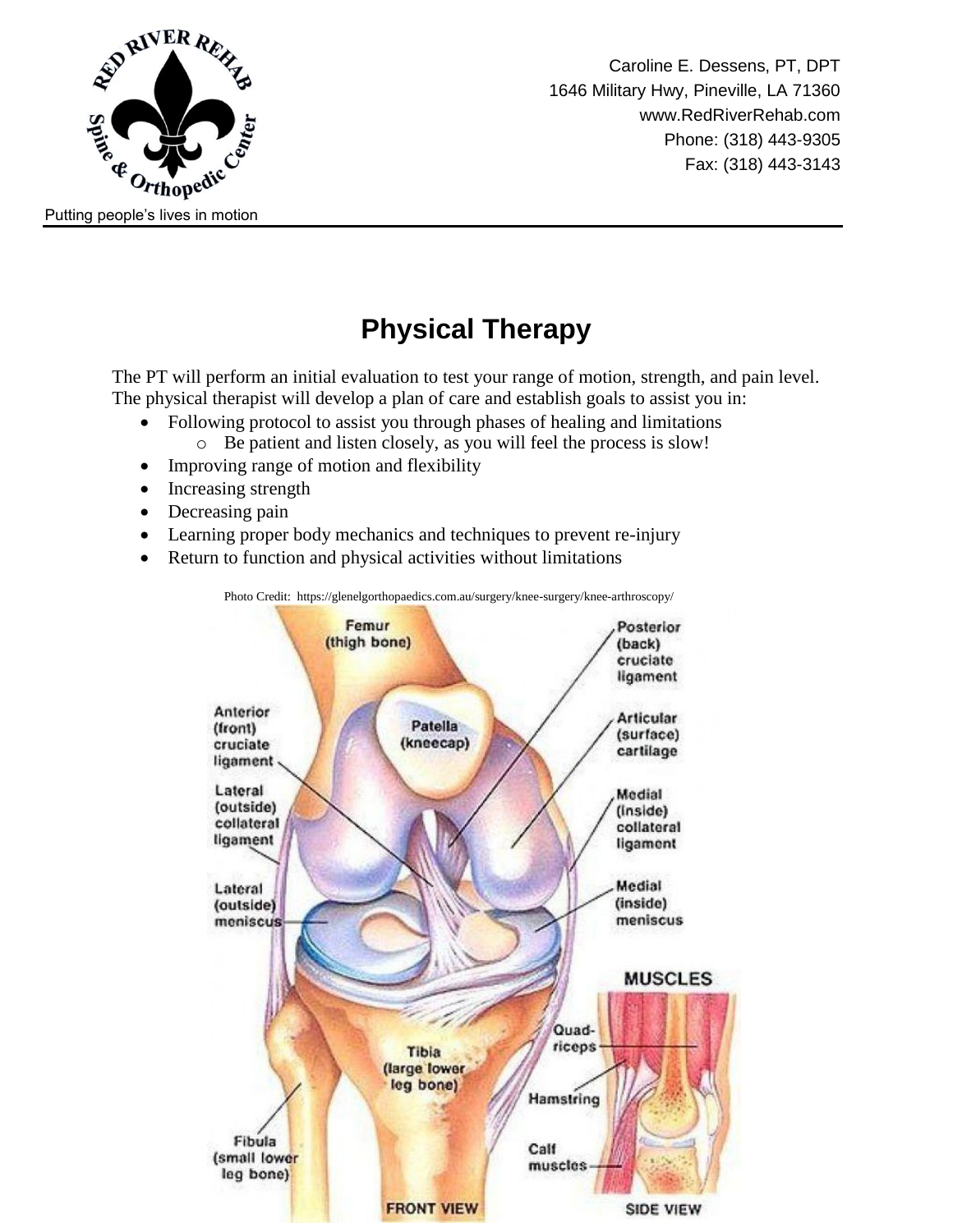

Caroline E. Dessens, PT, DPT 1646 Military Hwy, Pineville, LA 71360 www.RedRiverRehab.com Phone: (318) 443-9305 Fax: (318) 443-3143

## **Physical Therapy**

The PT will perform an initial evaluation to test your range of motion, strength, and pain level. The physical therapist will develop a plan of care and establish goals to assist you in:

- Following protocol to assist you through phases of healing and limitations
	- o Be patient and listen closely, as you will feel the process is slow!
- Improving range of motion and flexibility
- Increasing strength
- Decreasing pain
- Learning proper body mechanics and techniques to prevent re-injury
- Return to function and physical activities without limitations

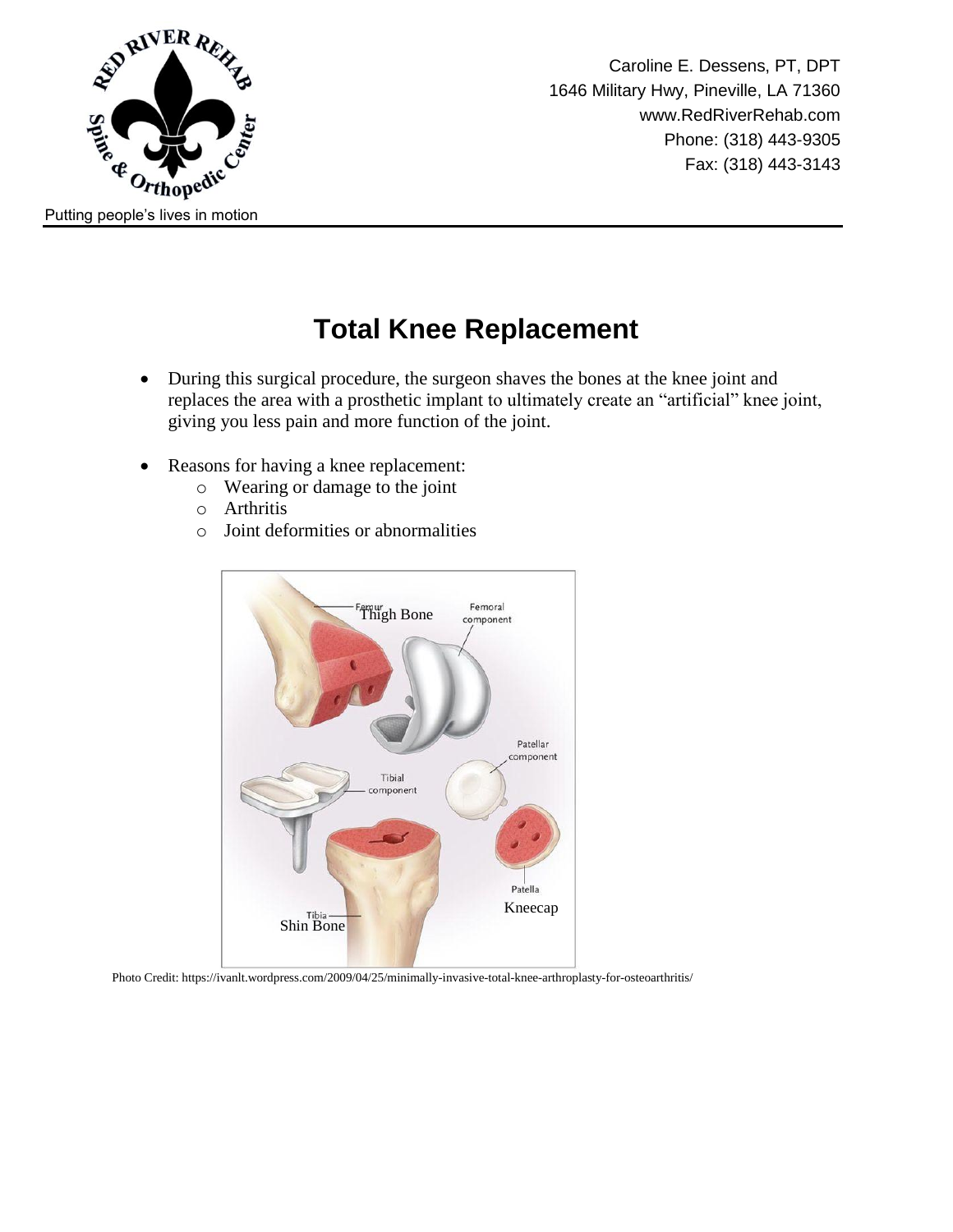

Caroline E. Dessens, PT, DPT 1646 Military Hwy, Pineville, LA 71360 www.RedRiverRehab.com Phone: (318) 443-9305 Fax: (318) 443-3143

#### **Total Knee Replacement**

- During this surgical procedure, the surgeon shaves the bones at the knee joint and replaces the area with a prosthetic implant to ultimately create an "artificial" knee joint, giving you less pain and more function of the joint.
- Reasons for having a knee replacement:
	- o Wearing or damage to the joint
	- o Arthritis
	- o Joint deformities or abnormalities



Photo Credit: https://ivanlt.wordpress.com/2009/04/25/minimally-invasive-total-knee-arthroplasty-for-osteoarthritis/